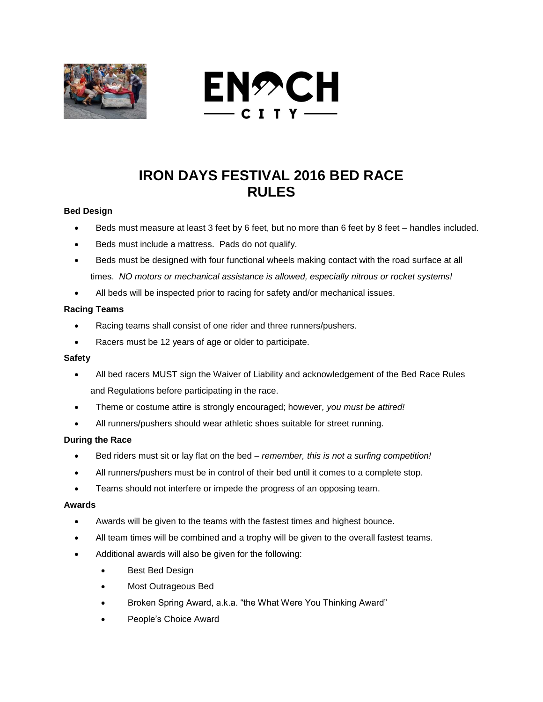



# **IRON DAYS FESTIVAL 2016 BED RACE RULES**

## **Bed Design**

- Beds must measure at least 3 feet by 6 feet, but no more than 6 feet by 8 feet handles included.
- Beds must include a mattress. Pads do not qualify.
- Beds must be designed with four functional wheels making contact with the road surface at all times. *NO motors or mechanical assistance is allowed, especially nitrous or rocket systems!*
- All beds will be inspected prior to racing for safety and/or mechanical issues.

### **Racing Teams**

- Racing teams shall consist of one rider and three runners/pushers.
- Racers must be 12 years of age or older to participate.

### **Safety**

- All bed racers MUST sign the Waiver of Liability and acknowledgement of the Bed Race Rules and Regulations before participating in the race.
- Theme or costume attire is strongly encouraged; however*, you must be attired!*
- All runners/pushers should wear athletic shoes suitable for street running.

### **During the Race**

- Bed riders must sit or lay flat on the bed *remember, this is not a surfing competition!*
- All runners/pushers must be in control of their bed until it comes to a complete stop.
- Teams should not interfere or impede the progress of an opposing team.

### **Awards**

- Awards will be given to the teams with the fastest times and highest bounce.
- All team times will be combined and a trophy will be given to the overall fastest teams.
- Additional awards will also be given for the following:
	- Best Bed Design
	- Most Outrageous Bed
	- Broken Spring Award, a.k.a. "the What Were You Thinking Award"
	- People's Choice Award